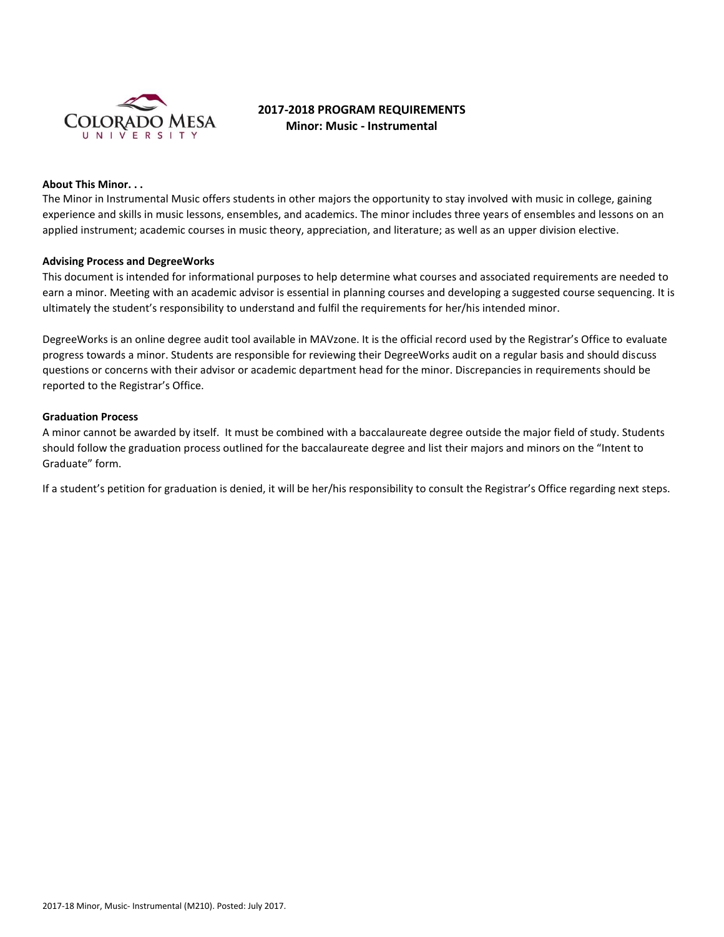

# **2017-2018 PROGRAM REQUIREMENTS Minor: Music - Instrumental**

## **About This Minor. . .**

The Minor in Instrumental Music offers students in other majors the opportunity to stay involved with music in college, gaining experience and skills in music lessons, ensembles, and academics. The minor includes three years of ensembles and lessons on an applied instrument; academic courses in music theory, appreciation, and literature; as well as an upper division elective.

#### **Advising Process and DegreeWorks**

This document is intended for informational purposes to help determine what courses and associated requirements are needed to earn a minor. Meeting with an academic advisor is essential in planning courses and developing a suggested course sequencing. It is ultimately the student's responsibility to understand and fulfil the requirements for her/his intended minor.

DegreeWorks is an online degree audit tool available in MAVzone. It is the official record used by the Registrar's Office to evaluate progress towards a minor. Students are responsible for reviewing their DegreeWorks audit on a regular basis and should discuss questions or concerns with their advisor or academic department head for the minor. Discrepancies in requirements should be reported to the Registrar's Office.

#### **Graduation Process**

A minor cannot be awarded by itself. It must be combined with a baccalaureate degree outside the major field of study. Students should follow the graduation process outlined for the baccalaureate degree and list their majors and minors on the "Intent to Graduate" form.

If a student's petition for graduation is denied, it will be her/his responsibility to consult the Registrar's Office regarding next steps.